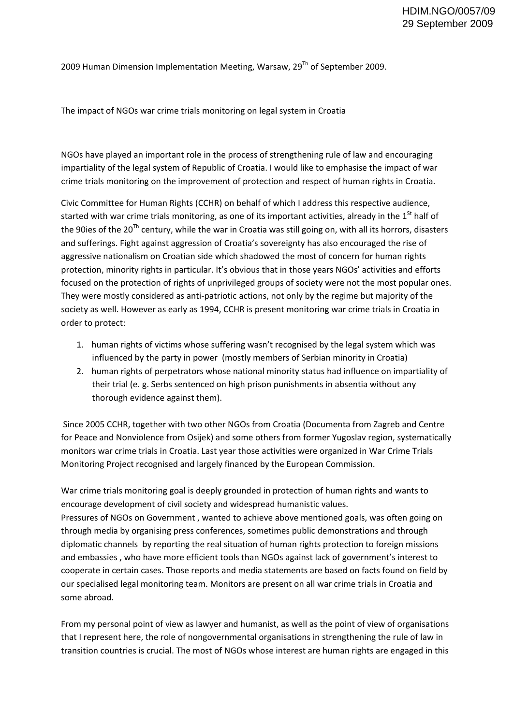2009 Human Dimension Implementation Meeting, Warsaw,  $29<sup>Th</sup>$  of September 2009.

The impact of NGOs war crime trials monitoring on legal system in Croatia

NGOs have played an important role in the process of strengthening rule of law and encouraging impartiality of the legal system of Republic of Croatia. I would like to emphasise the impact of war crime trials monitoring on the improvement of protection and respect of human rights in Croatia.

Civic Committee for Human Rights (CCHR) on behalf of which I address this respective audience, started with war crime trials monitoring, as one of its important activities, already in the 1<sup>St</sup> half of the 90ies of the 20<sup>Th</sup> century, while the war in Croatia was still going on, with all its horrors, disasters and sufferings. Fight against aggression of Croatia's sovereignty has also encouraged the rise of aggressive nationalism on Croatian side which shadowed the most of concern for human rights protection, minority rights in particular. It's obvious that in those years NGOs' activities and efforts focused on the protection of rights of unprivileged groups of society were not the most popular ones. They were mostly considered as anti‐patriotic actions, not only by the regime but majority of the society as well. However as early as 1994, CCHR is present monitoring war crime trials in Croatia in order to protect:

- 1. human rights of victims whose suffering wasn't recognised by the legal system which was influenced by the party in power (mostly members of Serbian minority in Croatia)
- 2. human rights of perpetrators whose national minority status had influence on impartiality of their trial (e. g. Serbs sentenced on high prison punishments in absentia without any thorough evidence against them).

Since 2005 CCHR, together with two other NGOs from Croatia (Documenta from Zagreb and Centre for Peace and Nonviolence from Osijek) and some others from former Yugoslav region, systematically monitors war crime trials in Croatia. Last year those activities were organized in War Crime Trials Monitoring Project recognised and largely financed by the European Commission.

War crime trials monitoring goal is deeply grounded in protection of human rights and wants to encourage development of civil society and widespread humanistic values. Pressures of NGOs on Government , wanted to achieve above mentioned goals, was often going on through media by organising press conferences, sometimes public demonstrations and through diplomatic channels by reporting the real situation of human rights protection to foreign missions and embassies , who have more efficient tools than NGOs against lack of government's interest to cooperate in certain cases. Those reports and media statements are based on facts found on field by our specialised legal monitoring team. Monitors are present on all war crime trials in Croatia and some abroad.

From my personal point of view as lawyer and humanist, as well as the point of view of organisations that I represent here, the role of nongovernmental organisations in strengthening the rule of law in transition countries is crucial. The most of NGOs whose interest are human rights are engaged in this